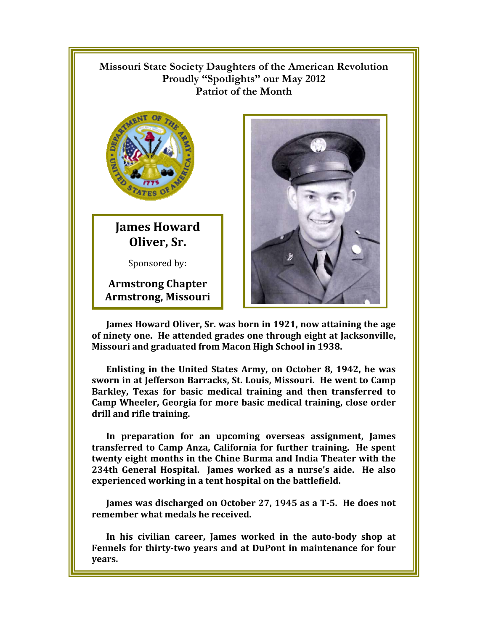## $\mathbb{R}$ **Missouri State Society Daughters of the American Revolution**  Proudly "Spotlights" our May 2012 **Patriot of the Month**



**James Howard Oliver, Sr.** 

Sponsored by:

**Armstrong Chapter Armstrong, Missouri** 



**James Howard Oliver, Sr. was born in 1921, now attaining the age of ninety one. He attended grades one through eight at Jacksonville, Missouri and graduated from Macon High School in 1938.** 

**Enlisting in the United States Army, on October 8, 1942, he was sworn in at Jefferson Barracks, St. Louis, Missouri. He went to Camp Barkley, Texas for basic medical training and then transferred to Camp Wheeler, Georgia for more basic medical training, close order drill and rifle training.** 

**In preparation for an upcoming overseas assignment, James transferred to Camp Anza, California for further training. He spent twenty eight months in the Chine Burma and India Theater with the**  234th General Hospital. James worked as a nurse's aide. He also **experienced working in a tent hospital on the battlefield.** 

**James was discharged on October 27, 1945 as a T-5. He does not remember what medals he received.** 

**In his civilian career, James worked in the auto-body shop at Fennels for thirty-two years and at DuPont in maintenance for four years.**